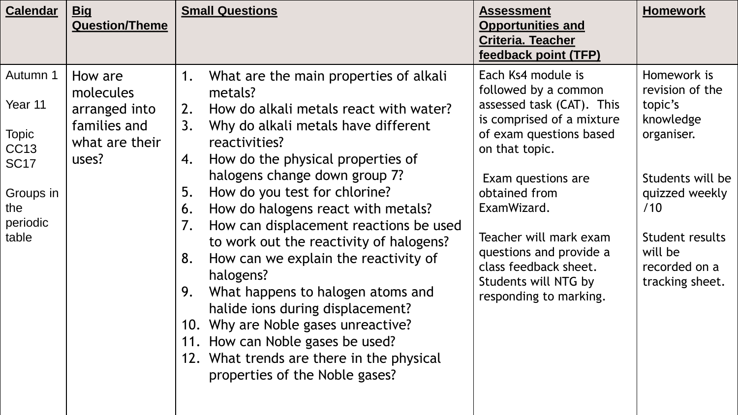| <b>Calendar</b>                                                                                            | <u>Big</u><br><b>Question/Theme</b>                                              | <b>Small Questions</b>                                                                                                                                                                                                                                                                                                                                                                                                                                                                                                                                                                                                                                                                                                              | <b>Assessment</b><br><b>Opportunities and</b><br><b>Criteria. Teacher</b><br>feedback point (TFP)                                                                                                                                                                                                                                       | <b>Homework</b>                                                                                                                                                                     |
|------------------------------------------------------------------------------------------------------------|----------------------------------------------------------------------------------|-------------------------------------------------------------------------------------------------------------------------------------------------------------------------------------------------------------------------------------------------------------------------------------------------------------------------------------------------------------------------------------------------------------------------------------------------------------------------------------------------------------------------------------------------------------------------------------------------------------------------------------------------------------------------------------------------------------------------------------|-----------------------------------------------------------------------------------------------------------------------------------------------------------------------------------------------------------------------------------------------------------------------------------------------------------------------------------------|-------------------------------------------------------------------------------------------------------------------------------------------------------------------------------------|
| Autumn 1<br>Year 11<br><b>Topic</b><br><b>CC13</b><br><b>SC17</b><br>Groups in<br>the<br>periodic<br>table | How are<br>molecules<br>arranged into<br>families and<br>what are their<br>uses? | What are the main properties of alkali<br>1.<br>metals?<br>How do alkali metals react with water?<br>2.<br>3.<br>Why do alkali metals have different<br>reactivities?<br>How do the physical properties of<br>4.<br>halogens change down group 7?<br>How do you test for chlorine?<br>5.<br>How do halogens react with metals?<br>6.<br>How can displacement reactions be used<br>7.<br>to work out the reactivity of halogens?<br>How can we explain the reactivity of<br>8.<br>halogens?<br>What happens to halogen atoms and<br>9.<br>halide ions during displacement?<br>10. Why are Noble gases unreactive?<br>11. How can Noble gases be used?<br>12. What trends are there in the physical<br>properties of the Noble gases? | Each Ks4 module is<br>followed by a common<br>assessed task (CAT). This<br>is comprised of a mixture<br>of exam questions based<br>on that topic.<br>Exam questions are<br>obtained from<br>ExamWizard.<br>Teacher will mark exam<br>questions and provide a<br>class feedback sheet.<br>Students will NTG by<br>responding to marking. | Homework is<br>revision of the<br>topic's<br>knowledge<br>organiser.<br>Students will be<br>quizzed weekly<br>/10<br>Student results<br>will be<br>recorded on a<br>tracking sheet. |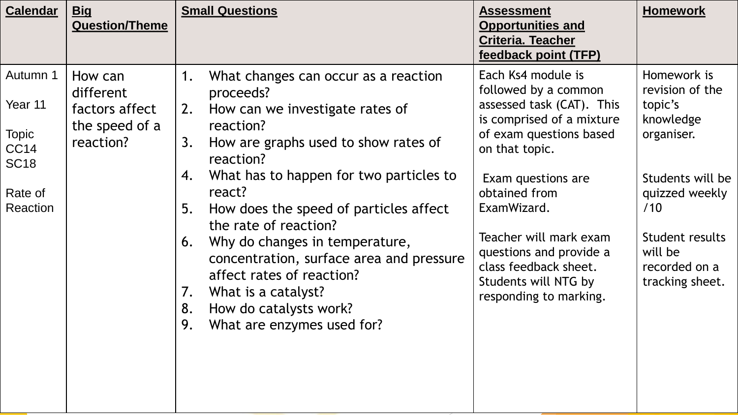| <b>Calendar</b>                                                                          | <b>Big</b><br><b>Question/Theme</b>                                   | <b>Small Questions</b>                                                                                                                                                                                                                                                                                                                                                                                                                                                                                                         | <b>Assessment</b><br><b>Opportunities and</b><br><b>Criteria. Teacher</b><br>feedback point (TFP)                                                                                                                                                                                                                                       | <b>Homework</b>                                                                                                                                                                     |
|------------------------------------------------------------------------------------------|-----------------------------------------------------------------------|--------------------------------------------------------------------------------------------------------------------------------------------------------------------------------------------------------------------------------------------------------------------------------------------------------------------------------------------------------------------------------------------------------------------------------------------------------------------------------------------------------------------------------|-----------------------------------------------------------------------------------------------------------------------------------------------------------------------------------------------------------------------------------------------------------------------------------------------------------------------------------------|-------------------------------------------------------------------------------------------------------------------------------------------------------------------------------------|
| Autumn 1<br>Year 11<br><b>Topic</b><br><b>CC14</b><br><b>SC18</b><br>Rate of<br>Reaction | How can<br>different<br>factors affect<br>the speed of a<br>reaction? | What changes can occur as a reaction<br>1.<br>proceeds?<br>2.<br>How can we investigate rates of<br>reaction?<br>How are graphs used to show rates of<br>3.<br>reaction?<br>What has to happen for two particles to<br>4.<br>react?<br>5.<br>How does the speed of particles affect<br>the rate of reaction?<br>Why do changes in temperature,<br>6.<br>concentration, surface area and pressure<br>affect rates of reaction?<br>What is a catalyst?<br>7.<br>How do catalysts work?<br>8.<br>9.<br>What are enzymes used for? | Each Ks4 module is<br>followed by a common<br>assessed task (CAT). This<br>is comprised of a mixture<br>of exam questions based<br>on that topic.<br>Exam questions are<br>obtained from<br>ExamWizard.<br>Teacher will mark exam<br>questions and provide a<br>class feedback sheet.<br>Students will NTG by<br>responding to marking. | Homework is<br>revision of the<br>topic's<br>knowledge<br>organiser.<br>Students will be<br>quizzed weekly<br>/10<br>Student results<br>will be<br>recorded on a<br>tracking sheet. |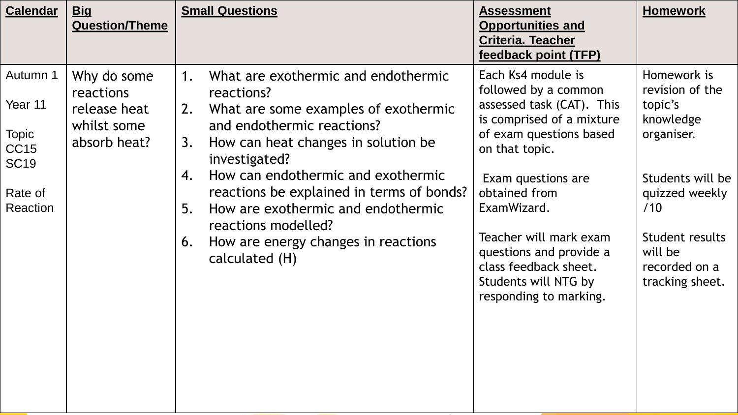| <b>Calendar</b>                                                                          | <u>Big</u><br><b>Question/Theme</b>                                     | <b>Small Questions</b>                                                                                                                                                                                                                                                                                                                                                                                                       | <b>Assessment</b><br><b>Opportunities and</b><br><b>Criteria. Teacher</b><br>feedback point (TFP)                                                                                                                                                                                                                                       | <b>Homework</b>                                                                                                                                                                     |
|------------------------------------------------------------------------------------------|-------------------------------------------------------------------------|------------------------------------------------------------------------------------------------------------------------------------------------------------------------------------------------------------------------------------------------------------------------------------------------------------------------------------------------------------------------------------------------------------------------------|-----------------------------------------------------------------------------------------------------------------------------------------------------------------------------------------------------------------------------------------------------------------------------------------------------------------------------------------|-------------------------------------------------------------------------------------------------------------------------------------------------------------------------------------|
| Autumn 1<br>Year 11<br><b>Topic</b><br><b>CC15</b><br><b>SC19</b><br>Rate of<br>Reaction | Why do some<br>reactions<br>release heat<br>whilst some<br>absorb heat? | What are exothermic and endothermic<br>1.<br>reactions?<br>What are some examples of exothermic<br>2.<br>and endothermic reactions?<br>How can heat changes in solution be<br>3.<br>investigated?<br>How can endothermic and exothermic<br>4.<br>reactions be explained in terms of bonds?<br>How are exothermic and endothermic<br>5.<br>reactions modelled?<br>How are energy changes in reactions<br>6.<br>calculated (H) | Each Ks4 module is<br>followed by a common<br>assessed task (CAT). This<br>is comprised of a mixture<br>of exam questions based<br>on that topic.<br>Exam questions are<br>obtained from<br>ExamWizard.<br>Teacher will mark exam<br>questions and provide a<br>class feedback sheet.<br>Students will NTG by<br>responding to marking. | Homework is<br>revision of the<br>topic's<br>knowledge<br>organiser.<br>Students will be<br>quizzed weekly<br>/10<br>Student results<br>will be<br>recorded on a<br>tracking sheet. |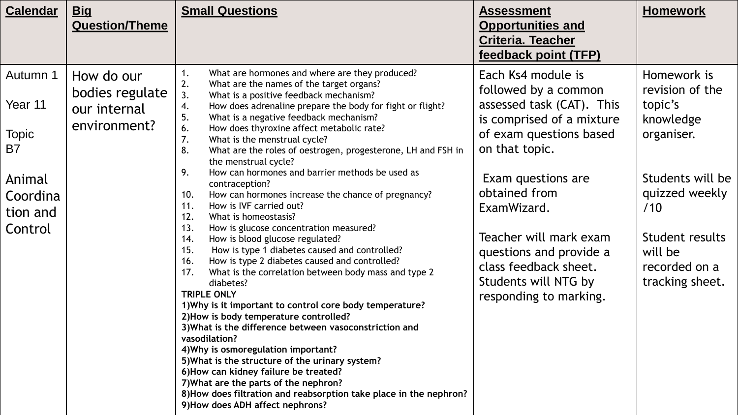| <u>Big</u>            | <b>Small Questions</b>                                    | <b>Assessment</b>                                                                                                                                                                                                                                                                                                                                                                                                                                                                                                                                                                                                                                                                                                                                                                                                     | <b>Homework</b>                                                                                                                                                                                                          |
|-----------------------|-----------------------------------------------------------|-----------------------------------------------------------------------------------------------------------------------------------------------------------------------------------------------------------------------------------------------------------------------------------------------------------------------------------------------------------------------------------------------------------------------------------------------------------------------------------------------------------------------------------------------------------------------------------------------------------------------------------------------------------------------------------------------------------------------------------------------------------------------------------------------------------------------|--------------------------------------------------------------------------------------------------------------------------------------------------------------------------------------------------------------------------|
| <b>Question/Theme</b> |                                                           | <b>Opportunities and</b>                                                                                                                                                                                                                                                                                                                                                                                                                                                                                                                                                                                                                                                                                                                                                                                              |                                                                                                                                                                                                                          |
|                       |                                                           | <b>Criteria. Teacher</b>                                                                                                                                                                                                                                                                                                                                                                                                                                                                                                                                                                                                                                                                                                                                                                                              |                                                                                                                                                                                                                          |
|                       |                                                           | feedback point (TFP)                                                                                                                                                                                                                                                                                                                                                                                                                                                                                                                                                                                                                                                                                                                                                                                                  |                                                                                                                                                                                                                          |
| How do our            | What are hormones and where are they produced?<br>1.      | Each Ks4 module is                                                                                                                                                                                                                                                                                                                                                                                                                                                                                                                                                                                                                                                                                                                                                                                                    | Homework is                                                                                                                                                                                                              |
| bodies regulate       | 3.<br>What is a positive feedback mechanism?              |                                                                                                                                                                                                                                                                                                                                                                                                                                                                                                                                                                                                                                                                                                                                                                                                                       | revision of the                                                                                                                                                                                                          |
| our internal          | 4.                                                        |                                                                                                                                                                                                                                                                                                                                                                                                                                                                                                                                                                                                                                                                                                                                                                                                                       | topic's                                                                                                                                                                                                                  |
| environment?          | 6.<br>How does thyroxine affect metabolic rate?           |                                                                                                                                                                                                                                                                                                                                                                                                                                                                                                                                                                                                                                                                                                                                                                                                                       | knowledge<br>organiser.                                                                                                                                                                                                  |
|                       |                                                           |                                                                                                                                                                                                                                                                                                                                                                                                                                                                                                                                                                                                                                                                                                                                                                                                                       |                                                                                                                                                                                                                          |
|                       | the menstrual cycle?                                      |                                                                                                                                                                                                                                                                                                                                                                                                                                                                                                                                                                                                                                                                                                                                                                                                                       |                                                                                                                                                                                                                          |
|                       |                                                           | Exam questions are                                                                                                                                                                                                                                                                                                                                                                                                                                                                                                                                                                                                                                                                                                                                                                                                    | Students will be                                                                                                                                                                                                         |
|                       | How can hormones increase the chance of pregnancy?<br>10. | obtained from                                                                                                                                                                                                                                                                                                                                                                                                                                                                                                                                                                                                                                                                                                                                                                                                         | quizzed weekly                                                                                                                                                                                                           |
|                       | 12.<br>What is homeostasis?                               |                                                                                                                                                                                                                                                                                                                                                                                                                                                                                                                                                                                                                                                                                                                                                                                                                       | /10                                                                                                                                                                                                                      |
|                       | 13.<br>How is glucose concentration measured?             |                                                                                                                                                                                                                                                                                                                                                                                                                                                                                                                                                                                                                                                                                                                                                                                                                       | Student results                                                                                                                                                                                                          |
|                       | 15.<br>How is type 1 diabetes caused and controlled?      |                                                                                                                                                                                                                                                                                                                                                                                                                                                                                                                                                                                                                                                                                                                                                                                                                       | will be                                                                                                                                                                                                                  |
|                       | How is type 2 diabetes caused and controlled?<br>16.      |                                                                                                                                                                                                                                                                                                                                                                                                                                                                                                                                                                                                                                                                                                                                                                                                                       | recorded on a                                                                                                                                                                                                            |
|                       | diabetes?                                                 | Students will NTG by                                                                                                                                                                                                                                                                                                                                                                                                                                                                                                                                                                                                                                                                                                                                                                                                  | tracking sheet.                                                                                                                                                                                                          |
|                       | <b>TRIPLE ONLY</b>                                        | responding to marking.                                                                                                                                                                                                                                                                                                                                                                                                                                                                                                                                                                                                                                                                                                                                                                                                |                                                                                                                                                                                                                          |
|                       |                                                           |                                                                                                                                                                                                                                                                                                                                                                                                                                                                                                                                                                                                                                                                                                                                                                                                                       |                                                                                                                                                                                                                          |
|                       |                                                           |                                                                                                                                                                                                                                                                                                                                                                                                                                                                                                                                                                                                                                                                                                                                                                                                                       |                                                                                                                                                                                                                          |
|                       | vasodilation?                                             |                                                                                                                                                                                                                                                                                                                                                                                                                                                                                                                                                                                                                                                                                                                                                                                                                       |                                                                                                                                                                                                                          |
|                       | 4) Why is osmoregulation important?                       |                                                                                                                                                                                                                                                                                                                                                                                                                                                                                                                                                                                                                                                                                                                                                                                                                       |                                                                                                                                                                                                                          |
|                       | 5) What is the structure of the urinary system?           |                                                                                                                                                                                                                                                                                                                                                                                                                                                                                                                                                                                                                                                                                                                                                                                                                       |                                                                                                                                                                                                                          |
|                       |                                                           |                                                                                                                                                                                                                                                                                                                                                                                                                                                                                                                                                                                                                                                                                                                                                                                                                       |                                                                                                                                                                                                                          |
|                       |                                                           |                                                                                                                                                                                                                                                                                                                                                                                                                                                                                                                                                                                                                                                                                                                                                                                                                       |                                                                                                                                                                                                                          |
|                       | 9) How does ADH affect nephrons?                          |                                                                                                                                                                                                                                                                                                                                                                                                                                                                                                                                                                                                                                                                                                                                                                                                                       |                                                                                                                                                                                                                          |
|                       |                                                           | 2.<br>What are the names of the target organs?<br>How does adrenaline prepare the body for fight or flight?<br>5.<br>What is a negative feedback mechanism?<br>7.<br>What is the menstrual cycle?<br>8.<br>What are the roles of oestrogen, progesterone, LH and FSH in<br>How can hormones and barrier methods be used as<br>9.<br>contraception?<br>How is IVF carried out?<br>11.<br>14.<br>How is blood glucose regulated?<br>What is the correlation between body mass and type 2<br>17.<br>1) Why is it important to control core body temperature?<br>2) How is body temperature controlled?<br>3) What is the difference between vasoconstriction and<br>6) How can kidney failure be treated?<br>7) What are the parts of the nephron?<br>8) How does filtration and reabsorption take place in the nephron? | followed by a common<br>assessed task (CAT). This<br>is comprised of a mixture<br>of exam questions based<br>on that topic.<br>ExamWizard.<br>Teacher will mark exam<br>questions and provide a<br>class feedback sheet. |